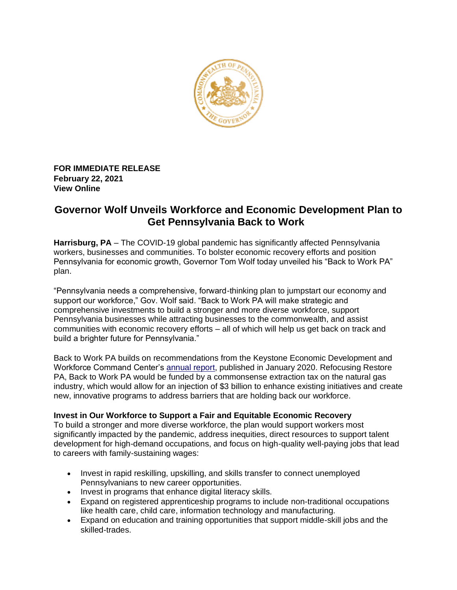

**FOR IMMEDIATE RELEASE February 22, 2021 [View Online](https://www.governor.pa.gov/newsroom/governor-wolf-unveils-workforce-and-economic-development-plan-to-get-pennsylvania-back-to-work/)**

## **Governor Wolf Unveils Workforce and Economic Development Plan to Get Pennsylvania Back to Work**

**Harrisburg, PA** – The COVID-19 global pandemic has significantly affected Pennsylvania workers, businesses and communities. To bolster economic recovery efforts and position Pennsylvania for economic growth, Governor Tom Wolf today unveiled his "Back to Work PA" plan.

"Pennsylvania needs a comprehensive, forward-thinking plan to jumpstart our economy and support our workforce," Gov. Wolf said. "Back to Work PA will make strategic and comprehensive investments to build a stronger and more diverse workforce, support Pennsylvania businesses while attracting businesses to the commonwealth, and assist communities with economic recovery efforts – all of which will help us get back on track and build a brighter future for Pennsylvania."

Back to Work PA builds on recommendations from the Keystone Economic Development and Workforce Command Center's [annual report,](https://www.governor.pa.gov/wp-content/uploads/2020/01/20200127-Workforce-Command-Center-Annual-Report.pdf) published in January 2020. Refocusing Restore PA, Back to Work PA would be funded by a commonsense extraction tax on the natural gas industry, which would allow for an injection of \$3 billion to enhance existing initiatives and create new, innovative programs to address barriers that are holding back our workforce.

## **Invest in Our Workforce to Support a Fair and Equitable Economic Recovery**

To build a stronger and more diverse workforce, the plan would support workers most significantly impacted by the pandemic, address inequities, direct resources to support talent development for high-demand occupations, and focus on high-quality well-paying jobs that lead to careers with family-sustaining wages:

- Invest in rapid reskilling, upskilling, and skills transfer to connect unemployed Pennsylvanians to new career opportunities.
- Invest in programs that enhance digital literacy skills.
- Expand on registered apprenticeship programs to include non-traditional occupations like health care, child care, information technology and manufacturing.
- Expand on education and training opportunities that support middle-skill jobs and the skilled-trades.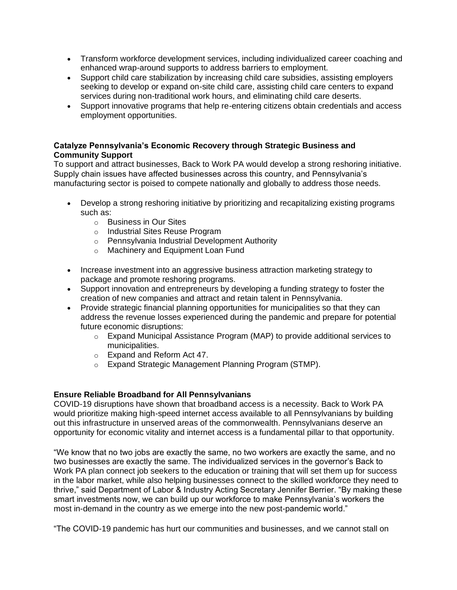- Transform workforce development services, including individualized career coaching and enhanced wrap-around supports to address barriers to employment.
- Support child care stabilization by increasing child care subsidies, assisting employers seeking to develop or expand on-site child care, assisting child care centers to expand services during non-traditional work hours, and eliminating child care deserts.
- Support innovative programs that help re-entering citizens obtain credentials and access employment opportunities.

## **Catalyze Pennsylvania's Economic Recovery through Strategic Business and Community Support**

To support and attract businesses, Back to Work PA would develop a strong reshoring initiative. Supply chain issues have affected businesses across this country, and Pennsylvania's manufacturing sector is poised to compete nationally and globally to address those needs.

- Develop a strong reshoring initiative by prioritizing and recapitalizing existing programs such as:
	- o Business in Our Sites
	- o Industrial Sites Reuse Program
	- o Pennsylvania Industrial Development Authority
	- o Machinery and Equipment Loan Fund
- Increase investment into an aggressive business attraction marketing strategy to package and promote reshoring programs.
- Support innovation and entrepreneurs by developing a funding strategy to foster the creation of new companies and attract and retain talent in Pennsylvania.
- Provide strategic financial planning opportunities for municipalities so that they can address the revenue losses experienced during the pandemic and prepare for potential future economic disruptions:
	- $\circ$  Expand Municipal Assistance Program (MAP) to provide additional services to municipalities.
	- o Expand and Reform Act 47.
	- o Expand Strategic Management Planning Program (STMP).

## **Ensure Reliable Broadband for All Pennsylvanians**

COVID-19 disruptions have shown that broadband access is a necessity. Back to Work PA would prioritize making high-speed internet access available to all Pennsylvanians by building out this infrastructure in unserved areas of the commonwealth. Pennsylvanians deserve an opportunity for economic vitality and internet access is a fundamental pillar to that opportunity.

"We know that no two jobs are exactly the same, no two workers are exactly the same, and no two businesses are exactly the same. The individualized services in the governor's Back to Work PA plan connect job seekers to the education or training that will set them up for success in the labor market, while also helping businesses connect to the skilled workforce they need to thrive," said Department of Labor & Industry Acting Secretary Jennifer Berrier. "By making these smart investments now, we can build up our workforce to make Pennsylvania's workers the most in-demand in the country as we emerge into the new post-pandemic world."

"The COVID-19 pandemic has hurt our communities and businesses, and we cannot stall on